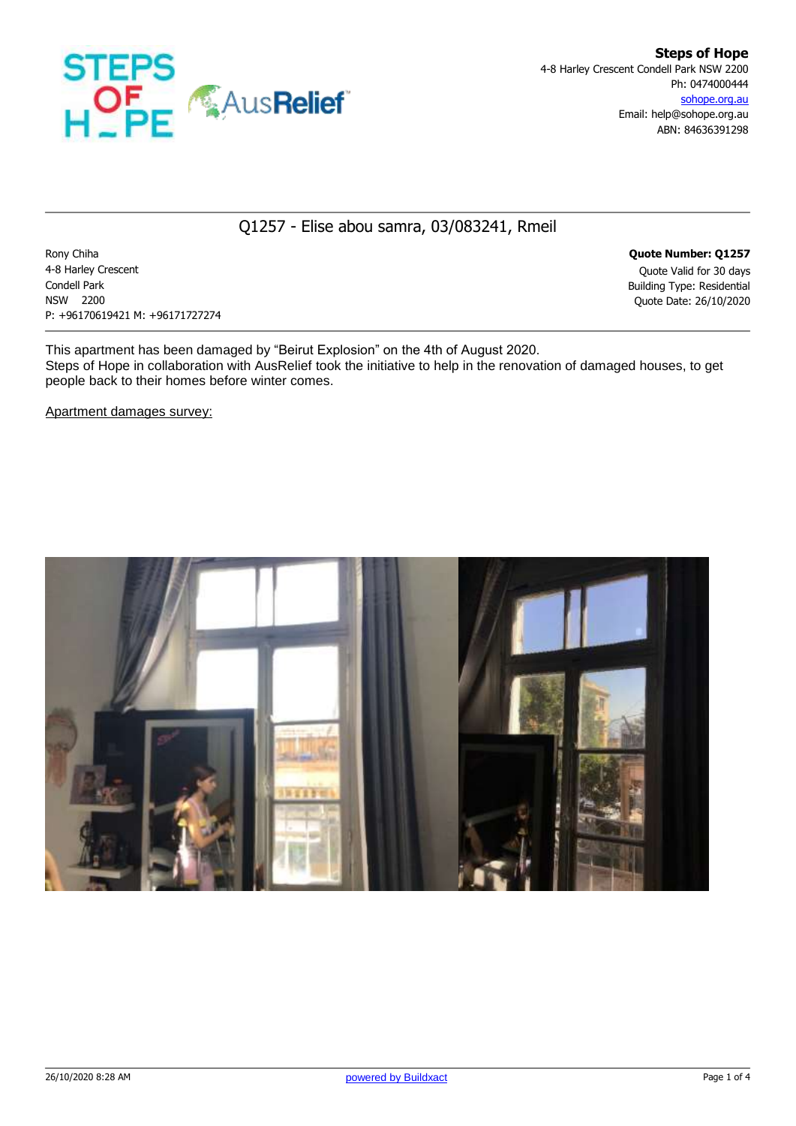

## Q1257 - Elise abou samra, 03/083241, Rmeil

Rony Chiha **Quote Number: Q1257** 4-8 Harley Crescent Quote Valid for 30 days Condell Park Building Type: Residential NSW 2200 Quote Date: 26/10/2020 P: +96170619421 M: +96171727274

This apartment has been damaged by "Beirut Explosion" on the 4th of August 2020. Steps of Hope in collaboration with AusRelief took the initiative to help in the renovation of damaged houses, to get people back to their homes before winter comes.

Apartment damages survey:

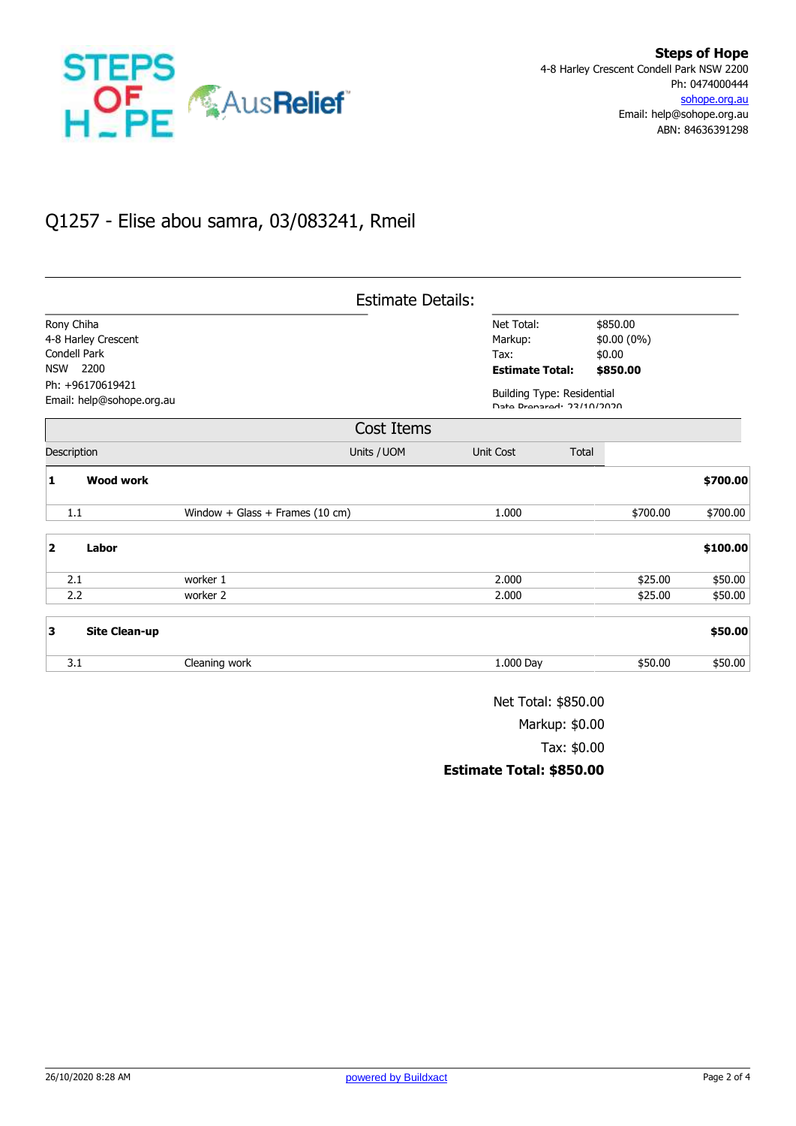

## Q1257 - Elise abou samra, 03/083241, Rmeil

|                         |                           |                                 | <b>Estimate Details:</b> |                                                                |        |              |          |
|-------------------------|---------------------------|---------------------------------|--------------------------|----------------------------------------------------------------|--------|--------------|----------|
| Rony Chiha              |                           |                                 |                          | Net Total:                                                     |        | \$850.00     |          |
|                         | 4-8 Harley Crescent       |                                 |                          | Markup:                                                        |        | $$0.00(0\%)$ |          |
| Condell Park            |                           |                                 | Tax:                     |                                                                | \$0.00 |              |          |
| 2200<br><b>NSW</b>      |                           |                                 |                          | <b>Estimate Total:</b>                                         |        | \$850.00     |          |
| Ph: +96170619421        |                           |                                 |                          |                                                                |        |              |          |
|                         | Email: help@sohope.org.au |                                 |                          | <b>Building Type: Residential</b><br>Data Dranared: 22/10/2020 |        |              |          |
|                         |                           |                                 | Cost Items               |                                                                |        |              |          |
|                         | Description               |                                 | Units / UOM              | Unit Cost                                                      | Total  |              |          |
| 1                       | <b>Wood work</b>          |                                 |                          |                                                                |        |              | \$700.00 |
|                         | 1.1                       | Window + Glass + Frames (10 cm) |                          | 1.000                                                          |        | \$700.00     | \$700.00 |
| $\overline{\mathbf{2}}$ | Labor                     |                                 |                          |                                                                |        |              | \$100.00 |
|                         | 2.1                       | worker 1                        |                          | 2.000                                                          |        | \$25.00      | \$50.00  |
|                         | 2.2                       | worker 2                        |                          | 2.000                                                          |        | \$25.00      | \$50.00  |
| 3                       | <b>Site Clean-up</b>      |                                 |                          |                                                                |        |              | \$50.00  |
|                         | 3.1                       | Cleaning work                   |                          | 1.000 Day                                                      |        | \$50.00      | \$50.00  |

Net Total: \$850.00 Markup: \$0.00 Tax: \$0.00 **Estimate Total: \$850.00**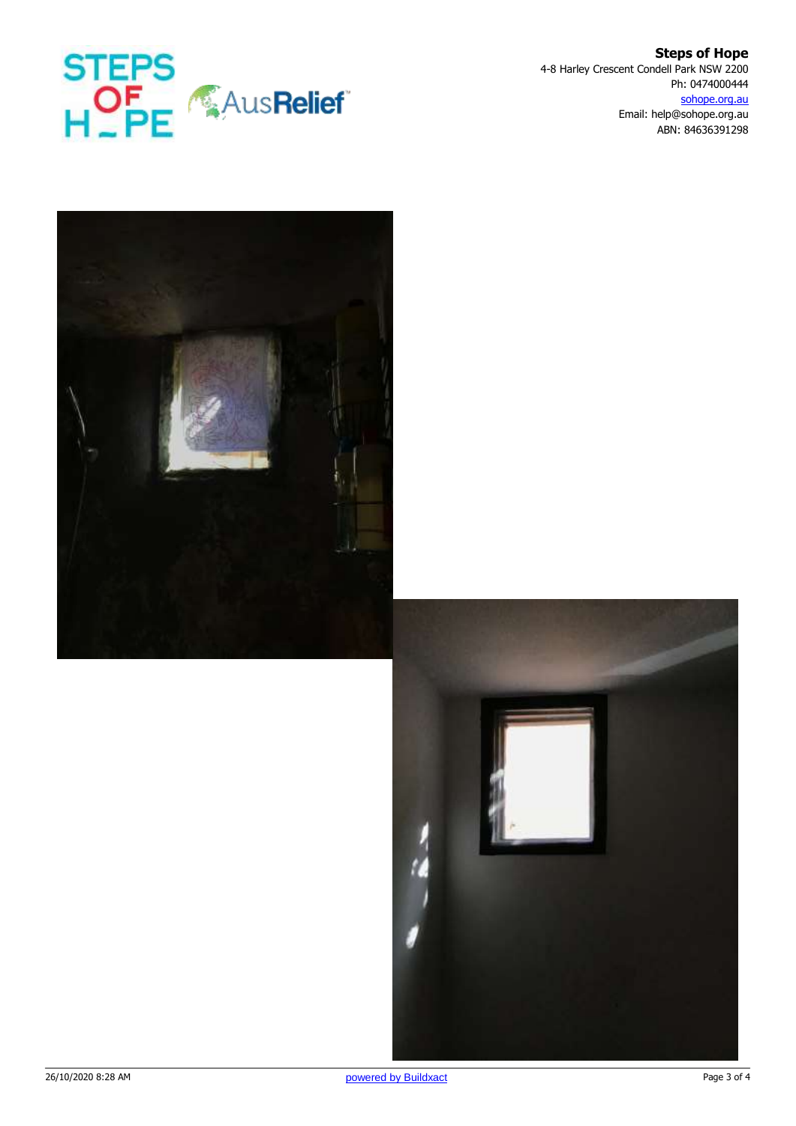

**Steps of Hope** 4-8 Harley Crescent Condell Park NSW 2200 Ph: 0474000444 sohope.org.au Email: help@sohope.org.au ABN: 84636391298